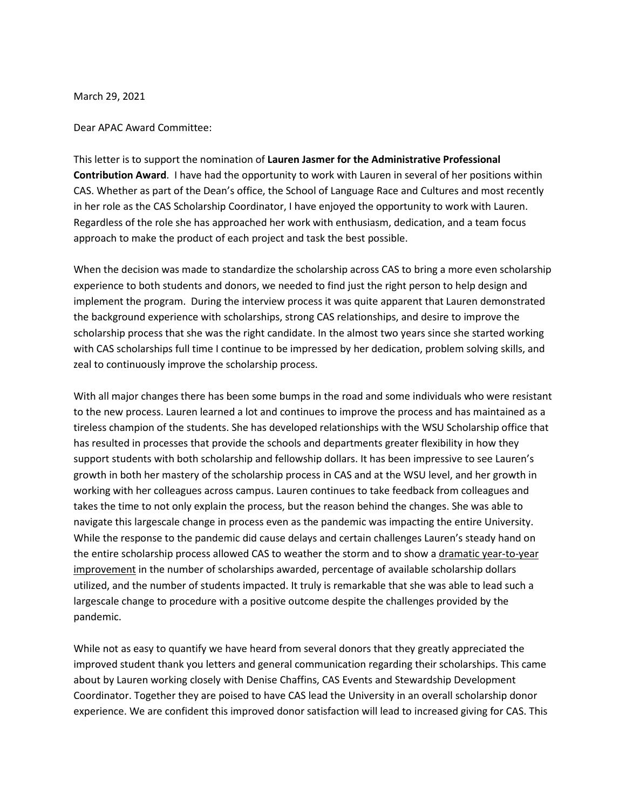March 29, 2021

Dear APAC Award Committee:

This letter is to support the nomination of **Lauren Jasmer for the Administrative Professional Contribution Award**. I have had the opportunity to work with Lauren in several of her positions within CAS. Whether as part of the Dean's office, the School of Language Race and Cultures and most recently in her role as the CAS Scholarship Coordinator, I have enjoyed the opportunity to work with Lauren. Regardless of the role she has approached her work with enthusiasm, dedication, and a team focus approach to make the product of each project and task the best possible.

When the decision was made to standardize the scholarship across CAS to bring a more even scholarship experience to both students and donors, we needed to find just the right person to help design and implement the program. During the interview process it was quite apparent that Lauren demonstrated the background experience with scholarships, strong CAS relationships, and desire to improve the scholarship process that she was the right candidate. In the almost two years since she started working with CAS scholarships full time I continue to be impressed by her dedication, problem solving skills, and zeal to continuously improve the scholarship process.

With all major changes there has been some bumps in the road and some individuals who were resistant to the new process. Lauren learned a lot and continues to improve the process and has maintained as a tireless champion of the students. She has developed relationships with the WSU Scholarship office that has resulted in processes that provide the schools and departments greater flexibility in how they support students with both scholarship and fellowship dollars. It has been impressive to see Lauren's growth in both her mastery of the scholarship process in CAS and at the WSU level, and her growth in working with her colleagues across campus. Lauren continues to take feedback from colleagues and takes the time to not only explain the process, but the reason behind the changes. She was able to navigate this largescale change in process even as the pandemic was impacting the entire University. While the response to the pandemic did cause delays and certain challenges Lauren's steady hand on the entire scholarship process allowed CAS to weather the storm and to show a dramatic year-to-year improvement in the number of scholarships awarded, percentage of available scholarship dollars utilized, and the number of students impacted. It truly is remarkable that she was able to lead such a largescale change to procedure with a positive outcome despite the challenges provided by the pandemic.

While not as easy to quantify we have heard from several donors that they greatly appreciated the improved student thank you letters and general communication regarding their scholarships. This came about by Lauren working closely with Denise Chaffins, CAS Events and Stewardship Development Coordinator. Together they are poised to have CAS lead the University in an overall scholarship donor experience. We are confident this improved donor satisfaction will lead to increased giving for CAS. This